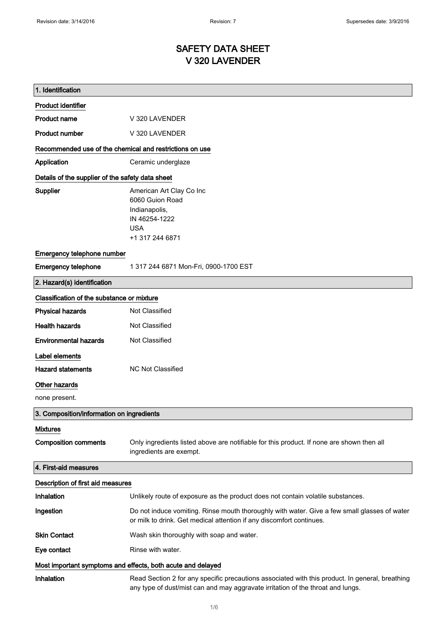# SAFETY DATA SHEET V 320 LAVENDER

| 1. Identification                                           |                                                                                                                                                                                    |
|-------------------------------------------------------------|------------------------------------------------------------------------------------------------------------------------------------------------------------------------------------|
| <b>Product identifier</b>                                   |                                                                                                                                                                                    |
| <b>Product name</b>                                         | V 320 LAVENDER                                                                                                                                                                     |
| <b>Product number</b>                                       | V 320 LAVENDER                                                                                                                                                                     |
| Recommended use of the chemical and restrictions on use     |                                                                                                                                                                                    |
| <b>Application</b>                                          | Ceramic underglaze                                                                                                                                                                 |
| Details of the supplier of the safety data sheet            |                                                                                                                                                                                    |
| Supplier                                                    | American Art Clay Co Inc<br>6060 Guion Road<br>Indianapolis,<br>IN 46254-1222<br><b>USA</b><br>+1 317 244 6871                                                                     |
| Emergency telephone number                                  |                                                                                                                                                                                    |
| <b>Emergency telephone</b>                                  | 1 317 244 6871 Mon-Fri, 0900-1700 EST                                                                                                                                              |
| 2. Hazard(s) identification                                 |                                                                                                                                                                                    |
| Classification of the substance or mixture                  |                                                                                                                                                                                    |
| <b>Physical hazards</b>                                     | Not Classified                                                                                                                                                                     |
| <b>Health hazards</b>                                       | Not Classified                                                                                                                                                                     |
| <b>Environmental hazards</b>                                | Not Classified                                                                                                                                                                     |
| Label elements                                              |                                                                                                                                                                                    |
| <b>Hazard statements</b>                                    | <b>NC Not Classified</b>                                                                                                                                                           |
| <b>Other hazards</b>                                        |                                                                                                                                                                                    |
| none present.                                               |                                                                                                                                                                                    |
| 3. Composition/information on ingredients                   |                                                                                                                                                                                    |
| <b>Mixtures</b>                                             |                                                                                                                                                                                    |
| <b>Composition comments</b>                                 | Only ingredients listed above are notifiable for this product. If none are shown then all<br>ingredients are exempt.                                                               |
| 4. First-aid measures                                       |                                                                                                                                                                                    |
| Description of first aid measures                           |                                                                                                                                                                                    |
| Inhalation                                                  | Unlikely route of exposure as the product does not contain volatile substances.                                                                                                    |
| Ingestion                                                   | Do not induce vomiting. Rinse mouth thoroughly with water. Give a few small glasses of water<br>or milk to drink. Get medical attention if any discomfort continues.               |
| <b>Skin Contact</b>                                         | Wash skin thoroughly with soap and water.                                                                                                                                          |
| Eye contact                                                 | Rinse with water.                                                                                                                                                                  |
| Most important symptoms and effects, both acute and delayed |                                                                                                                                                                                    |
| Inhalation                                                  | Read Section 2 for any specific precautions associated with this product. In general, breathing<br>any type of dust/mist can and may aggravate irritation of the throat and lungs. |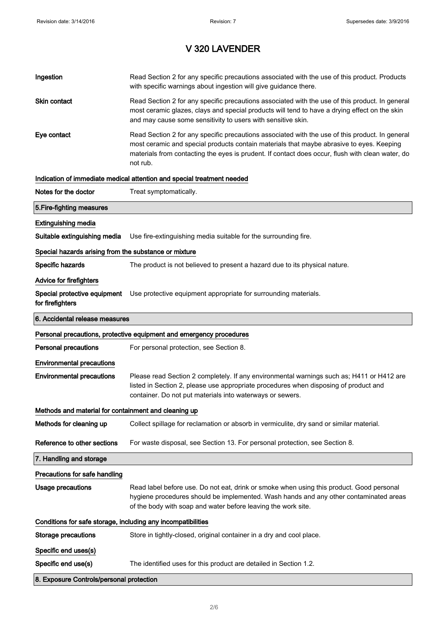| Ingestion                                                    | Read Section 2 for any specific precautions associated with the use of this product. Products<br>with specific warnings about ingestion will give guidance there.                                                                                                                                           |  |
|--------------------------------------------------------------|-------------------------------------------------------------------------------------------------------------------------------------------------------------------------------------------------------------------------------------------------------------------------------------------------------------|--|
| Skin contact                                                 | Read Section 2 for any specific precautions associated with the use of this product. In general<br>most ceramic glazes, clays and special products will tend to have a drying effect on the skin<br>and may cause some sensitivity to users with sensitive skin.                                            |  |
| Eye contact                                                  | Read Section 2 for any specific precautions associated with the use of this product. In general<br>most ceramic and special products contain materials that maybe abrasive to eyes. Keeping<br>materials from contacting the eyes is prudent. If contact does occur, flush with clean water, do<br>not rub. |  |
|                                                              | Indication of immediate medical attention and special treatment needed                                                                                                                                                                                                                                      |  |
| Notes for the doctor                                         | Treat symptomatically.                                                                                                                                                                                                                                                                                      |  |
| 5. Fire-fighting measures                                    |                                                                                                                                                                                                                                                                                                             |  |
| <b>Extinguishing media</b>                                   |                                                                                                                                                                                                                                                                                                             |  |
| Suitable extinguishing media                                 | Use fire-extinguishing media suitable for the surrounding fire.                                                                                                                                                                                                                                             |  |
| Special hazards arising from the substance or mixture        |                                                                                                                                                                                                                                                                                                             |  |
| Specific hazards                                             | The product is not believed to present a hazard due to its physical nature.                                                                                                                                                                                                                                 |  |
| <b>Advice for firefighters</b>                               |                                                                                                                                                                                                                                                                                                             |  |
| for firefighters                                             | Special protective equipment Use protective equipment appropriate for surrounding materials.                                                                                                                                                                                                                |  |
| 6. Accidental release measures                               |                                                                                                                                                                                                                                                                                                             |  |
|                                                              | Personal precautions, protective equipment and emergency procedures                                                                                                                                                                                                                                         |  |
|                                                              |                                                                                                                                                                                                                                                                                                             |  |
| <b>Personal precautions</b>                                  | For personal protection, see Section 8.                                                                                                                                                                                                                                                                     |  |
| <b>Environmental precautions</b>                             |                                                                                                                                                                                                                                                                                                             |  |
| <b>Environmental precautions</b>                             | Please read Section 2 completely. If any environmental warnings such as; H411 or H412 are<br>listed in Section 2, please use appropriate procedures when disposing of product and<br>container. Do not put materials into waterways or sewers.                                                              |  |
| Methods and material for containment and cleaning up         |                                                                                                                                                                                                                                                                                                             |  |
| Methods for cleaning up                                      | Collect spillage for reclamation or absorb in vermiculite, dry sand or similar material.                                                                                                                                                                                                                    |  |
| Reference to other sections                                  | For waste disposal, see Section 13. For personal protection, see Section 8.                                                                                                                                                                                                                                 |  |
| 7. Handling and storage                                      |                                                                                                                                                                                                                                                                                                             |  |
| Precautions for safe handling                                |                                                                                                                                                                                                                                                                                                             |  |
| Usage precautions                                            | Read label before use. Do not eat, drink or smoke when using this product. Good personal<br>hygiene procedures should be implemented. Wash hands and any other contaminated areas<br>of the body with soap and water before leaving the work site.                                                          |  |
| Conditions for safe storage, including any incompatibilities |                                                                                                                                                                                                                                                                                                             |  |
| <b>Storage precautions</b>                                   | Store in tightly-closed, original container in a dry and cool place.                                                                                                                                                                                                                                        |  |
| Specific end uses(s)                                         |                                                                                                                                                                                                                                                                                                             |  |
| Specific end use(s)                                          | The identified uses for this product are detailed in Section 1.2.                                                                                                                                                                                                                                           |  |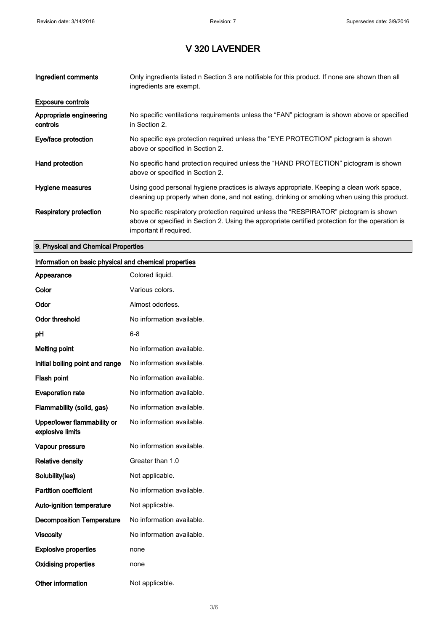| Ingredient comments                 | Only ingredients listed n Section 3 are notifiable for this product. If none are shown then all<br>ingredients are exempt.                                                                                           |
|-------------------------------------|----------------------------------------------------------------------------------------------------------------------------------------------------------------------------------------------------------------------|
| <b>Exposure controls</b>            |                                                                                                                                                                                                                      |
| Appropriate engineering<br>controls | No specific ventilations requirements unless the "FAN" pictogram is shown above or specified<br>in Section 2.                                                                                                        |
| Eye/face protection                 | No specific eye protection required unless the "EYE PROTECTION" pictogram is shown<br>above or specified in Section 2.                                                                                               |
| Hand protection                     | No specific hand protection required unless the "HAND PROTECTION" pictogram is shown<br>above or specified in Section 2.                                                                                             |
| Hygiene measures                    | Using good personal hygiene practices is always appropriate. Keeping a clean work space,<br>cleaning up properly when done, and not eating, drinking or smoking when using this product.                             |
| <b>Respiratory protection</b>       | No specific respiratory protection required unless the "RESPIRATOR" pictogram is shown<br>above or specified in Section 2. Using the appropriate certified protection for the operation is<br>important if required. |

#### 9. Physical and Chemical Properties

### Information on basic physical and chemical properties

| Appearance                                      | Colored liquid.           |
|-------------------------------------------------|---------------------------|
| Color                                           | Various colors.           |
| Odor                                            | Almost odorless.          |
| <b>Odor threshold</b>                           | No information available. |
| рH                                              | 6-8                       |
| <b>Melting point</b>                            | No information available. |
| Initial boiling point and range                 | No information available. |
| Flash point                                     | No information available. |
| <b>Evaporation rate</b>                         | No information available. |
| Flammability (solid, gas)                       | No information available. |
| Upper/lower flammability or<br>explosive limits | No information available. |
| Vapour pressure                                 | No information available. |
| <b>Relative density</b>                         | Greater than 1.0          |
| Solubility(ies)                                 | Not applicable.           |
| <b>Partition coefficient</b>                    | No information available. |
| <b>Auto-ignition temperature</b>                | Not applicable.           |
| <b>Decomposition Temperature</b>                | No information available. |
| <b>Viscosity</b>                                | No information available. |
| <b>Explosive properties</b>                     | none                      |
| <b>Oxidising properties</b>                     | none                      |
| <b>Other information</b>                        | Not applicable.           |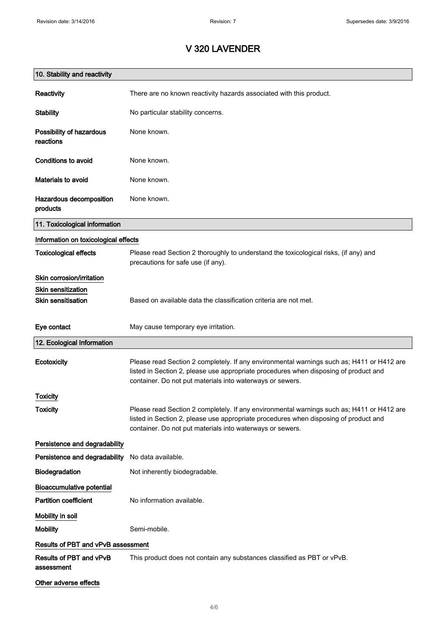| 10. Stability and reactivity          |                                                                                                                                                                                                                                                |
|---------------------------------------|------------------------------------------------------------------------------------------------------------------------------------------------------------------------------------------------------------------------------------------------|
| Reactivity                            | There are no known reactivity hazards associated with this product.                                                                                                                                                                            |
| <b>Stability</b>                      | No particular stability concerns.                                                                                                                                                                                                              |
| Possibility of hazardous<br>reactions | None known.                                                                                                                                                                                                                                    |
| <b>Conditions to avoid</b>            | None known.                                                                                                                                                                                                                                    |
| <b>Materials to avoid</b>             | None known.                                                                                                                                                                                                                                    |
| Hazardous decomposition<br>products   | None known.                                                                                                                                                                                                                                    |
| 11. Toxicological information         |                                                                                                                                                                                                                                                |
| Information on toxicological effects  |                                                                                                                                                                                                                                                |
| <b>Toxicological effects</b>          | Please read Section 2 thoroughly to understand the toxicological risks, (if any) and<br>precautions for safe use (if any).                                                                                                                     |
| Skin corrosion/irritation             |                                                                                                                                                                                                                                                |
| <b>Skin sensitization</b>             |                                                                                                                                                                                                                                                |
| <b>Skin sensitisation</b>             | Based on available data the classification criteria are not met.                                                                                                                                                                               |
| Eye contact                           | May cause temporary eye irritation.                                                                                                                                                                                                            |
| 12. Ecological Information            |                                                                                                                                                                                                                                                |
| Ecotoxicity                           | Please read Section 2 completely. If any environmental warnings such as; H411 or H412 are<br>listed in Section 2, please use appropriate procedures when disposing of product and<br>container. Do not put materials into waterways or sewers. |
| Toxicity                              |                                                                                                                                                                                                                                                |
| <b>Toxicity</b>                       | Please read Section 2 completely. If any environmental warnings such as; H411 or H412 are<br>listed in Section 2, please use appropriate procedures when disposing of product and<br>container. Do not put materials into waterways or sewers. |
| Persistence and degradability         |                                                                                                                                                                                                                                                |
| Persistence and degradability         | No data available.                                                                                                                                                                                                                             |
| Biodegradation                        | Not inherently biodegradable.                                                                                                                                                                                                                  |
| <b>Bioaccumulative potential</b>      |                                                                                                                                                                                                                                                |
| <b>Partition coefficient</b>          | No information available.                                                                                                                                                                                                                      |
| Mobility in soil                      |                                                                                                                                                                                                                                                |
| <b>Mobility</b>                       | Semi-mobile.                                                                                                                                                                                                                                   |
| Results of PBT and vPvB assessment    |                                                                                                                                                                                                                                                |
| Results of PBT and vPvB<br>assessment | This product does not contain any substances classified as PBT or vPvB.                                                                                                                                                                        |
| Other adverse effects                 |                                                                                                                                                                                                                                                |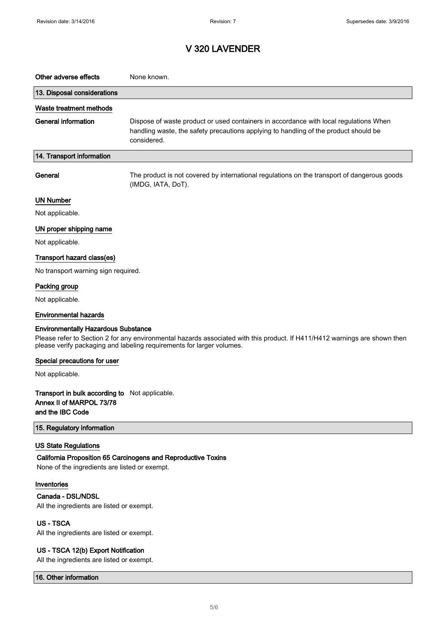| Other adverse effects                                                                          | None known.                                                                                                                                                                                         |
|------------------------------------------------------------------------------------------------|-----------------------------------------------------------------------------------------------------------------------------------------------------------------------------------------------------|
| 13. Disposal considerations                                                                    |                                                                                                                                                                                                     |
| Waste treatment methods                                                                        |                                                                                                                                                                                                     |
| <b>General information</b>                                                                     | Dispose of waste product or used containers in accordance with local regulations When<br>handling waste, the safety precautions applying to handling of the product should be<br>considered.        |
| 14. Transport information                                                                      |                                                                                                                                                                                                     |
| General                                                                                        | The product is not covered by international regulations on the transport of dangerous goods<br>(IMDG, IATA, DoT).                                                                                   |
| <b>UN Number</b>                                                                               |                                                                                                                                                                                                     |
| Not applicable.                                                                                |                                                                                                                                                                                                     |
| UN proper shipping name                                                                        |                                                                                                                                                                                                     |
| Not applicable.                                                                                |                                                                                                                                                                                                     |
| Transport hazard class(es)                                                                     |                                                                                                                                                                                                     |
| No transport warning sign required.                                                            |                                                                                                                                                                                                     |
| Packing group                                                                                  |                                                                                                                                                                                                     |
| Not applicable.                                                                                |                                                                                                                                                                                                     |
| <b>Environmental hazards</b>                                                                   |                                                                                                                                                                                                     |
| <b>Environmentally Hazardous Substance</b>                                                     | Please refer to Section 2 for any environmental hazards associated with this product. If H411/H412 warnings are shown then<br>please verify packaging and labeling requirements for larger volumes. |
| Special precautions for user                                                                   |                                                                                                                                                                                                     |
| Not applicable.                                                                                |                                                                                                                                                                                                     |
| Transport in bulk according to Not applicable.<br>Annex II of MARPOL 73/78<br>and the IBC Code |                                                                                                                                                                                                     |
| 15. Regulatory information                                                                     |                                                                                                                                                                                                     |
| <b>US State Regulations</b><br>None of the ingredients are listed or exempt.                   | California Proposition 65 Carcinogens and Reproductive Toxins                                                                                                                                       |
| Inventories<br>Canada - DSL/NDSL<br>All the ingredients are listed or exempt.                  |                                                                                                                                                                                                     |
| <b>US-TSCA</b><br>All the ingredients are listed or exempt.                                    |                                                                                                                                                                                                     |
| US - TSCA 12(b) Export Notification                                                            |                                                                                                                                                                                                     |

All the ingredients are listed or exempt.

16. Other information